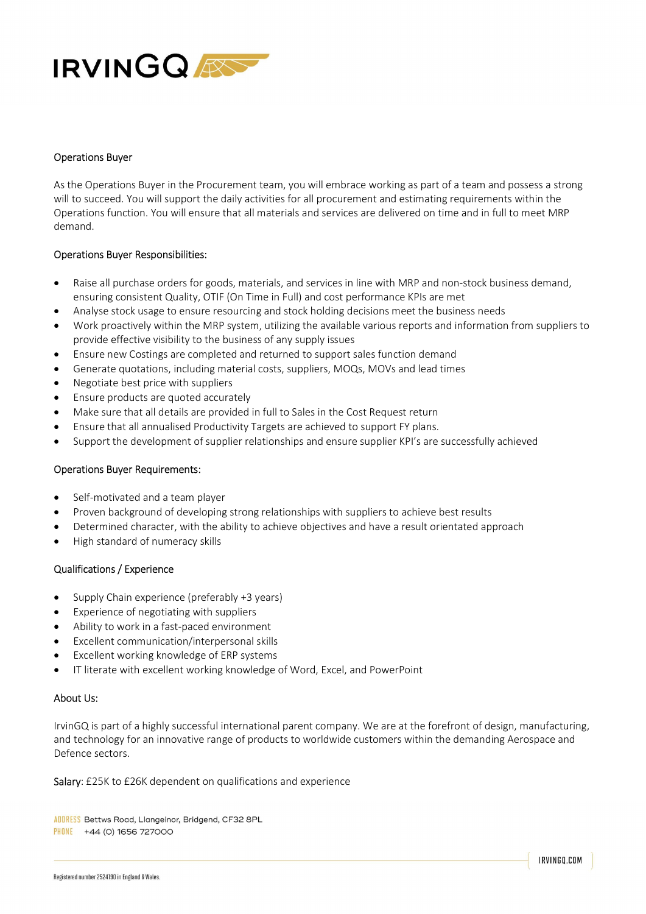

# Operations Buyer

As the Operations Buyer in the Procurement team, you will embrace working as part of a team and possess a strong will to succeed. You will support the daily activities for all procurement and estimating requirements within the Operations function. You will ensure that all materials and services are delivered on time and in full to meet MRP demand.

# Operations Buyer Responsibilities:

- Raise all purchase orders for goods, materials, and services in line with MRP and non-stock business demand, ensuring consistent Quality, OTIF (On Time in Full) and cost performance KPIs are met
- Analyse stock usage to ensure resourcing and stock holding decisions meet the business needs
- Work proactively within the MRP system, utilizing the available various reports and information from suppliers to provide effective visibility to the business of any supply issues
- Ensure new Costings are completed and returned to support sales function demand
- Generate quotations, including material costs, suppliers, MOQs, MOVs and lead times
- Negotiate best price with suppliers
- Ensure products are quoted accurately
- Make sure that all details are provided in full to Sales in the Cost Request return
- Ensure that all annualised Productivity Targets are achieved to support FY plans.
- Support the development of supplier relationships and ensure supplier KPI's are successfully achieved

## Operations Buyer Requirements:

- Self-motivated and a team player
- Proven background of developing strong relationships with suppliers to achieve best results
- Determined character, with the ability to achieve objectives and have a result orientated approach
- High standard of numeracy skills

## Qualifications / Experience

- Supply Chain experience (preferably +3 years)
- Experience of negotiating with suppliers
- Ability to work in a fast-paced environment
- Excellent communication/interpersonal skills
- Excellent working knowledge of ERP systems
- IT literate with excellent working knowledge of Word, Excel, and PowerPoint

## About Us:

IrvinGQ is part of a highly successful international parent company. We are at the forefront of design, manufacturing, and technology for an innovative range of products to worldwide customers within the demanding Aerospace and Defence sectors.

Salary: £25K to £26K dependent on qualifications and experience

ADDRESS Bettws Road, Llangeinor, Bridgend, CF32 8PL PHONE +44 (O) 1656 727000